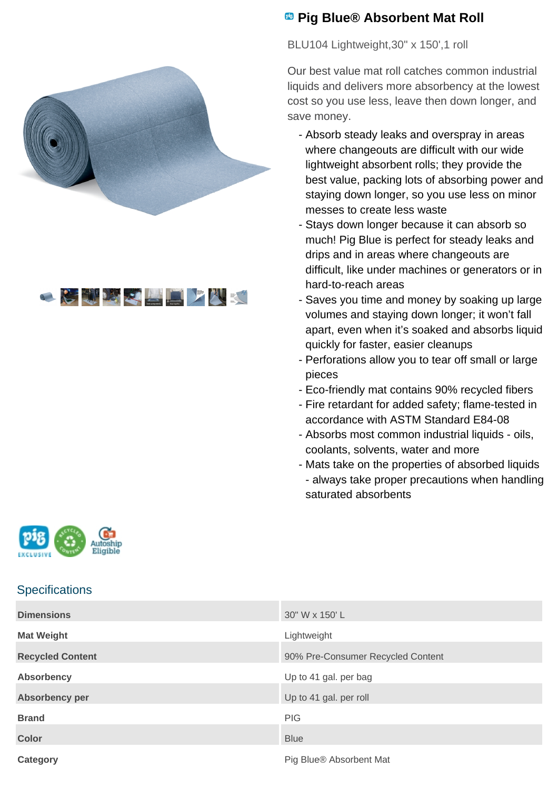



## **<sup><b>B</sup>** Pig Blue<sup>®</sup> Absorbent Mat Roll</sup>

BLU104 Lightweight, 30" x 150', 1 roll

Our best value mat roll catches common industrial liquids and delivers more absorbency at the lowest cost so you use less, leave then down longer, and save money.

- Absorb steady leaks and overspray in areas where changeouts are difficult with our wide lightweight absorbent rolls; they provide the best value, packing lots of absorbing power and staying down longer, so you use less on minor messes to create less waste
- Stays down longer because it can absorb so much! Pig Blue is perfect for steady leaks and drips and in areas where changeouts are difficult, like under machines or generators or in hard-to-reach areas
- Saves you time and money by soaking up large volumes and staying down longer; it won't fall apart, even when it's soaked and absorbs liquid quickly for faster, easier cleanups
- Perforations allow you to tear off small or large pieces
- Eco-friendly mat contains 90% recycled fibers
- Fire retardant for added safety; flame-tested in accordance with ASTM Standard E84-08
- Absorbs most common industrial liquids oils, coolants, solvents, water and more
- Mats take on the properties of absorbed liquids - always take proper precautions when handling saturated absorbents



## **Specifications**

| <b>Dimensions</b>       | 30" W x 150' L                    |
|-------------------------|-----------------------------------|
| <b>Mat Weight</b>       | Lightweight                       |
| <b>Recycled Content</b> | 90% Pre-Consumer Recycled Content |
| <b>Absorbency</b>       | Up to 41 gal. per bag             |
| <b>Absorbency per</b>   | Up to 41 gal. per roll            |
| <b>Brand</b>            | <b>PIG</b>                        |
| <b>Color</b>            | <b>Blue</b>                       |
| <b>Category</b>         | Pig Blue® Absorbent Mat           |